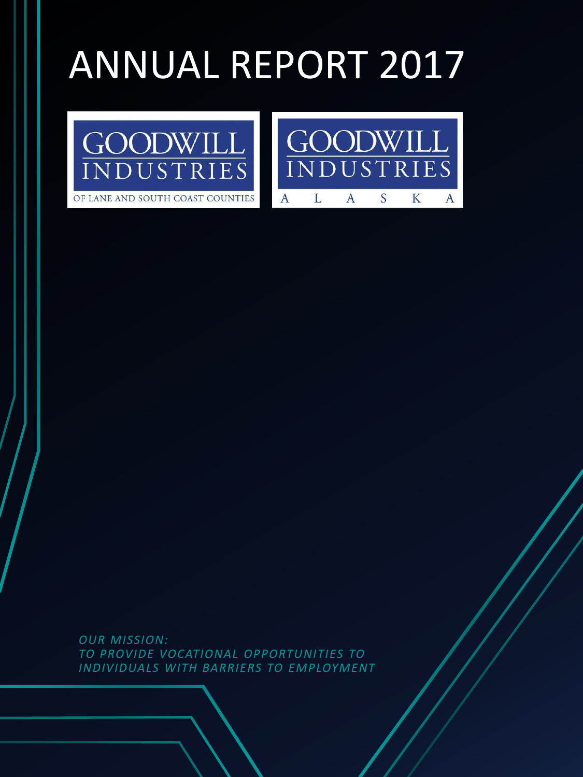# ANNUAL REPORT 2017





*OUR MISSION: TO PROVIDE VOCATIONAL OPPORTUNITIES TO INDIVIDUALS WITH BARRIERS TO EMPLOYMENT*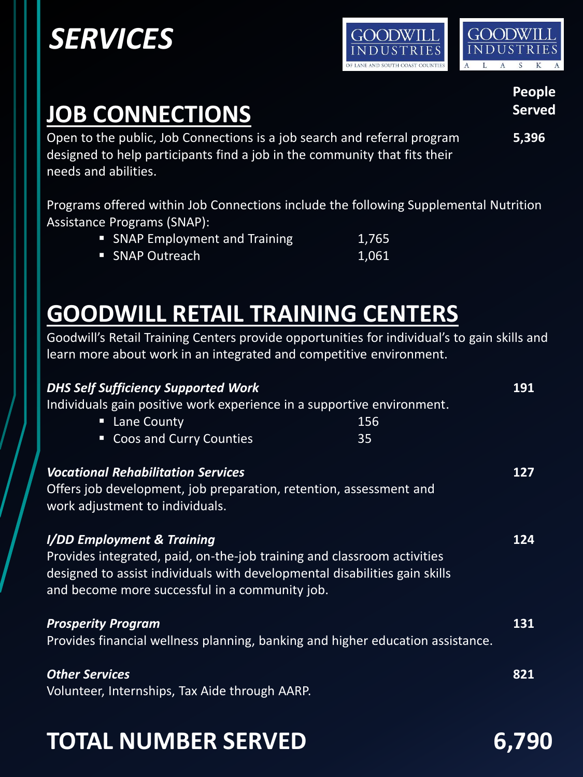## *SERVICES*





#### **People Served Served Served Served**

Open to the public, Job Connections is a job search and referral program **5,396** designed to help participants find a job in the community that fits their needs and abilities.

Programs offered within Job Connections include the following Supplemental Nutrition Assistance Programs (SNAP):

| • SNAP Employment and Training | 1,765 |
|--------------------------------|-------|
| • SNAP Outreach                | 1,061 |

**GOODWILL RETAIL TRAINING CENTERS**

Goodwill's Retail Training Centers provide opportunities for individual's to gain skills and learn more about work in an integrated and competitive environment.

| <b>DHS Self Sufficiency Supported Work</b><br>Lane County<br>п<br><b>Coos and Curry Counties</b><br>О | Individuals gain positive work experience in a supportive environment.                                                                                | 156<br>35 | 191 |
|-------------------------------------------------------------------------------------------------------|-------------------------------------------------------------------------------------------------------------------------------------------------------|-----------|-----|
| <b>Vocational Rehabilitation Services</b><br>work adjustment to individuals.                          | Offers job development, job preparation, retention, assessment and                                                                                    |           | 127 |
| I/DD Employment & Training<br>and become more successful in a community job.                          | Provides integrated, paid, on-the-job training and classroom activities<br>designed to assist individuals with developmental disabilities gain skills |           | 124 |
| <b>Prosperity Program</b>                                                                             | Provides financial wellness planning, banking and higher education assistance.                                                                        |           | 131 |
| <b>Other Services</b><br>Volunteer, Internships, Tax Aide through AARP.                               |                                                                                                                                                       |           | 821 |

## **TOTAL NUMBER SERVED 6,790**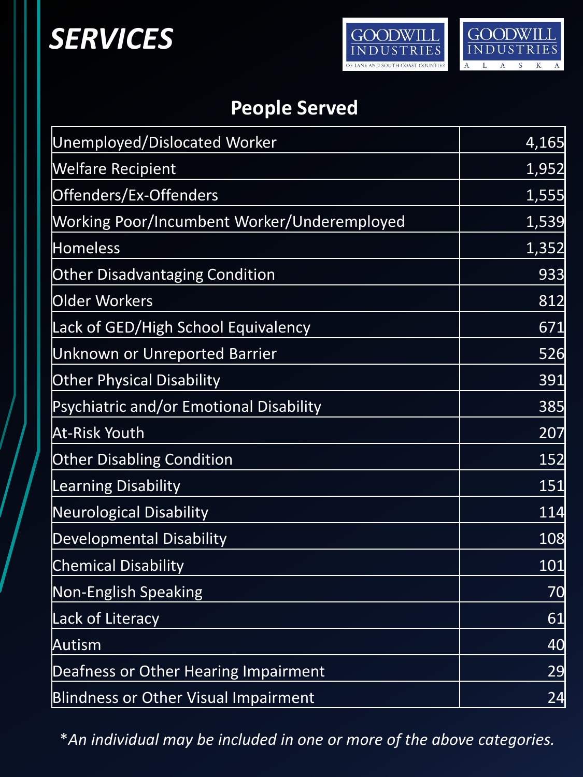## *SERVICES*





### **People Served**

| Unemployed/Dislocated Worker                | 4,165 |
|---------------------------------------------|-------|
| <b>Welfare Recipient</b>                    | 1,952 |
| Offenders/Ex-Offenders                      | 1,555 |
| Working Poor/Incumbent Worker/Underemployed | 1,539 |
| <b>Homeless</b>                             | 1,352 |
| <b>Other Disadvantaging Condition</b>       | 933   |
| Older Workers                               | 812   |
| Lack of GED/High School Equivalency         | 671   |
| Unknown or Unreported Barrier               | 526   |
| <b>Other Physical Disability</b>            | 391   |
| Psychiatric and/or Emotional Disability     | 385   |
| At-Risk Youth                               | 207   |
| <b>Other Disabling Condition</b>            | 152   |
| <b>Learning Disability</b>                  | 151   |
| <b>Neurological Disability</b>              | 114   |
| Developmental Disability                    | 108   |
| <b>Chemical Disability</b>                  | 101   |
| <b>Non-English Speaking</b>                 | 70    |
| <b>Lack of Literacy</b>                     | 61    |
| Autism                                      | 40    |
| Deafness or Other Hearing Impairment        | 29    |
| <b>Blindness or Other Visual Impairment</b> | 24    |

\**An individual may be included in one or more of the above categories.*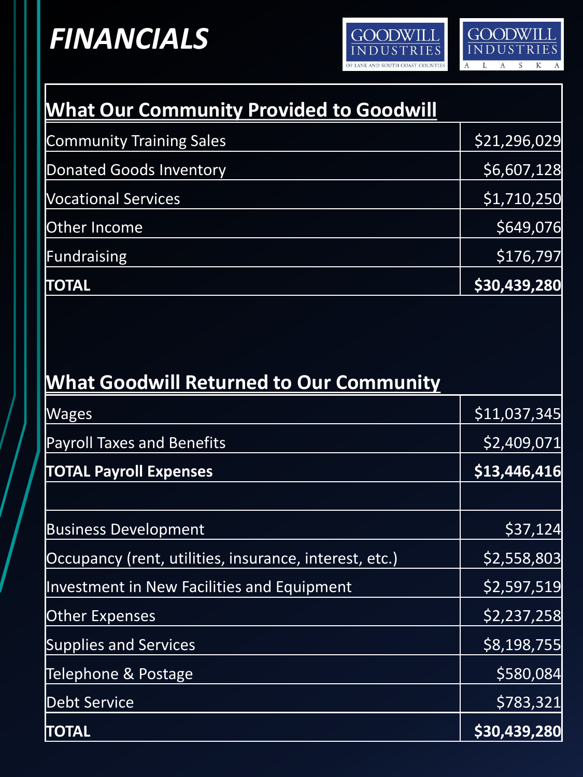## *FINANCIALS*





| <b>What Our Community Provided to Goodwill</b>         |              |
|--------------------------------------------------------|--------------|
| <b>Community Training Sales</b>                        | \$21,296,029 |
| <b>Donated Goods Inventory</b>                         | \$6,607,128  |
| <b>Vocational Services</b>                             | \$1,710,250  |
| Other Income                                           | \$649,076    |
| <b>Fundraising</b>                                     | \$176,797    |
| <b>TOTAL</b>                                           | \$30,439,280 |
| <b>What Goodwill Returned to Our Community</b>         |              |
| Wages                                                  | \$11,037,345 |
| <b>Payroll Taxes and Benefits</b>                      | \$2,409,071  |
| <b>TOTAL Payroll Expenses</b>                          | \$13,446,416 |
| <b>Business Development</b>                            | \$37,124     |
| Occupancy (rent, utilities, insurance, interest, etc.) | \$2,558,803  |
| Investment in New Facilities and Equipment             | \$2,597,519  |
| <b>Other Expenses</b>                                  | \$2,237,258  |
| <b>Supplies and Services</b>                           | \$8,198,755  |
| Telephone & Postage                                    | \$580,084    |
| <b>Debt Service</b>                                    | \$783,321    |
| <b>TOTAL</b>                                           | \$30,439,280 |